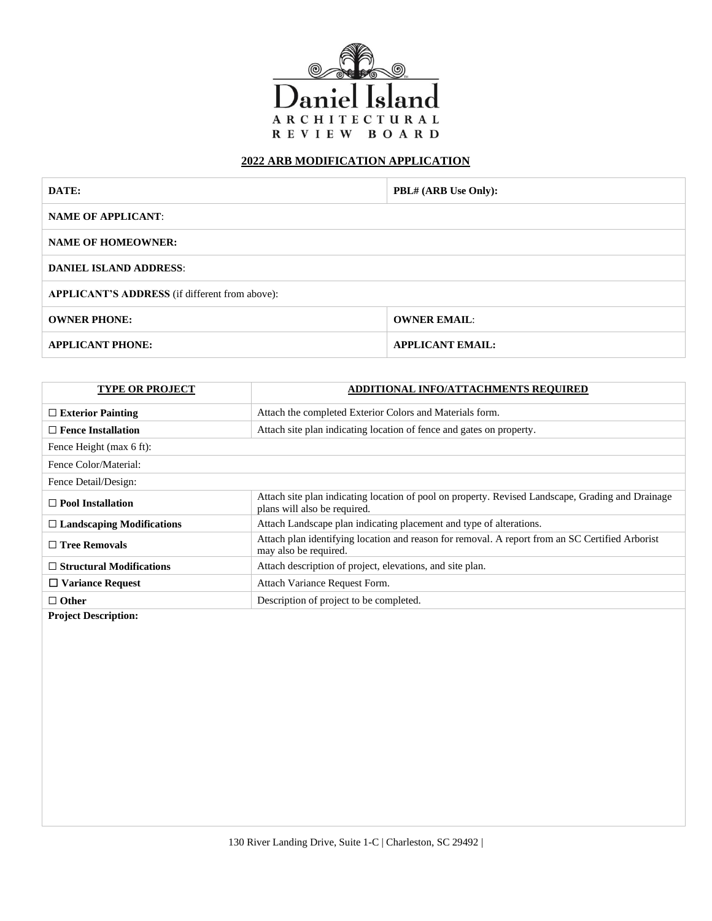

## **2022 ARB MODIFICATION APPLICATION**

| DATE:                                                 | PBL# (ARB Use Only):    |  |
|-------------------------------------------------------|-------------------------|--|
| <b>NAME OF APPLICANT:</b>                             |                         |  |
| <b>NAME OF HOMEOWNER:</b>                             |                         |  |
| <b>DANIEL ISLAND ADDRESS:</b>                         |                         |  |
| <b>APPLICANT'S ADDRESS</b> (if different from above): |                         |  |
| <b>OWNER PHONE:</b>                                   | <b>OWNER EMAIL:</b>     |  |
| <b>APPLICANT PHONE:</b>                               | <b>APPLICANT EMAIL:</b> |  |

| <b>TYPE OR PROJECT</b>           | <b>ADDITIONAL INFO/ATTACHMENTS REQUIRED</b>                                                                                       |  |
|----------------------------------|-----------------------------------------------------------------------------------------------------------------------------------|--|
| $\Box$ Exterior Painting         | Attach the completed Exterior Colors and Materials form.                                                                          |  |
| $\Box$ Fence Installation        | Attach site plan indicating location of fence and gates on property.                                                              |  |
| Fence Height (max 6 ft):         |                                                                                                                                   |  |
| Fence Color/Material:            |                                                                                                                                   |  |
| Fence Detail/Design:             |                                                                                                                                   |  |
| $\Box$ Pool Installation         | Attach site plan indicating location of pool on property. Revised Landscape, Grading and Drainage<br>plans will also be required. |  |
| $\Box$ Landscaping Modifications | Attach Landscape plan indicating placement and type of alterations.                                                               |  |
| $\Box$ Tree Removals             | Attach plan identifying location and reason for removal. A report from an SC Certified Arborist<br>may also be required.          |  |
| $\Box$ Structural Modifications  | Attach description of project, elevations, and site plan.                                                                         |  |
| $\Box$ Variance Request          | Attach Variance Request Form.                                                                                                     |  |
| $\Box$ Other                     | Description of project to be completed.                                                                                           |  |
|                                  |                                                                                                                                   |  |

**Project Description:**